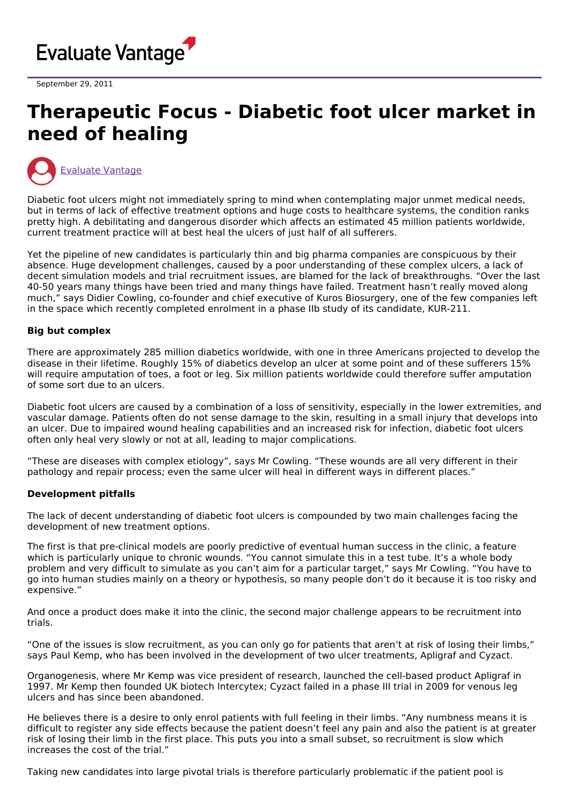

September 29, 2011

# **Therapeutic Focus - Diabetic foot ulcer market in need of healing**



Diabetic foot ulcers might not immediately spring to mind when contemplating major unmet medical needs, but in terms of lack of effective treatment options and huge costs to healthcare systems, the condition ranks pretty high. A debilitating and dangerous disorder which affects an estimated 45 million patients worldwide, current treatment practice will at best heal the ulcers of just half of all sufferers.

Yet the pipeline of new candidates is particularly thin and big pharma companies are conspicuous by their absence. Huge development challenges, caused by a poor understanding of these complex ulcers, a lack of decent simulation models and trial recruitment issues, are blamed for the lack of breakthroughs. "Over the last 40-50 years many things have been tried and many things have failed. Treatment hasn't really moved along much," says Didier Cowling, co-founder and chief executive of Kuros Biosurgery, one of the few companies left in the space which recently completed enrolment in a phase IIb study of its candidate, KUR-211.

#### **Big but complex**

There are approximately 285 million diabetics worldwide, with one in three Americans projected to develop the disease in their lifetime. Roughly 15% of diabetics develop an ulcer at some point and of these sufferers 15% will require amputation of toes, a foot or leg. Six million patients worldwide could therefore suffer amputation of some sort due to an ulcers.

Diabetic foot ulcers are caused by a combination of a loss of sensitivity, especially in the lower extremities, and vascular damage. Patients often do not sense damage to the skin, resulting in a small injury that develops into an ulcer. Due to impaired wound healing capabilities and an increased risk for infection, diabetic foot ulcers often only heal very slowly or not at all, leading to major complications.

"These are diseases with complex etiology", says Mr Cowling. "These wounds are all very different in their pathology and repair process; even the same ulcer will heal in different ways in different places."

#### **Development pitfalls**

The lack of decent understanding of diabetic foot ulcers is compounded by two main challenges facing the development of new treatment options.

The first is that pre-clinical models are poorly predictive of eventual human success in the clinic, a feature which is particularly unique to chronic wounds. "You cannot simulate this in a test tube. It's a whole body problem and very difficult to simulate as you can't aim for a particular target," says Mr Cowling. "You have to go into human studies mainly on a theory or hypothesis, so many people don't do it because it is too risky and expensive."

And once a product does make it into the clinic, the second major challenge appears to be recruitment into trials.

"One of the issues is slow recruitment, as you can only go for patients that aren't at risk of losing their limbs," says Paul Kemp, who has been involved in the development of two ulcer treatments, Apligraf and Cyzact.

Organogenesis, where Mr Kemp was vice president of research, launched the cell-based product Apligraf in 1997. Mr Kemp then founded UK biotech Intercytex; Cyzact failed in a phase III trial in 2009 for venous leg ulcers and has since been abandoned.

He believes there is a desire to only enrol patients with full feeling in their limbs. "Any numbness means it is difficult to register any side effects because the patient doesn't feel any pain and also the patient is at greater risk of losing their limb in the first place. This puts you into a small subset, so recruitment is slow which increases the cost of the trial."

Taking new candidates into large pivotal trials is therefore particularly problematic if the patient pool is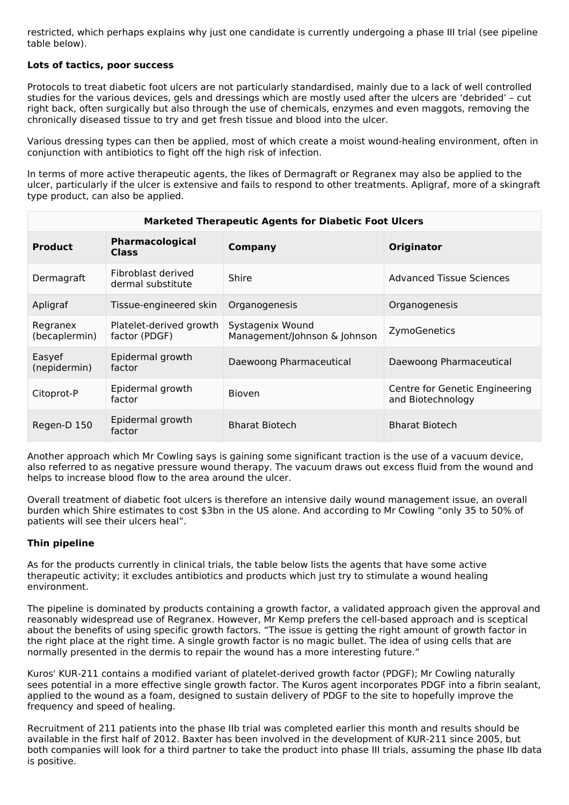restricted, which perhaps explains why just one candidate is currently undergoing a phase III trial (see pipeline table below).

### **Lots of tactics, poor success**

Protocols to treat diabetic foot ulcers are not particularly standardised, mainly due to a lack of well controlled studies for the various devices, gels and dressings which are mostly used after the ulcers are 'debrided' – cut right back, often surgically but also through the use of chemicals, enzymes and even maggots, removing the chronically diseased tissue to try and get fresh tissue and blood into the ulcer.

Various dressing types can then be applied, most of which create a moist wound-healing environment, often in conjunction with antibiotics to fight off the high risk of infection.

In terms of more active therapeutic agents, the likes of Dermagraft or Regranex may also be applied to the ulcer, particularly if the ulcer is extensive and fails to respond to other treatments. Apligraf, more of a skingraft type product, can also be applied.

| <b>Marketed Therapeutic Agents for Diabetic Foot Ulcers</b> |                                          |                                                  |                                                     |  |  |
|-------------------------------------------------------------|------------------------------------------|--------------------------------------------------|-----------------------------------------------------|--|--|
| <b>Product</b>                                              | Pharmacological<br><b>Class</b>          | <b>Company</b>                                   | <b>Originator</b>                                   |  |  |
| Dermagraft                                                  | Fibroblast derived<br>dermal substitute  | Shire                                            | <b>Advanced Tissue Sciences</b>                     |  |  |
| Apligraf                                                    | Tissue-engineered skin                   | Organogenesis                                    | Organogenesis                                       |  |  |
| Regranex<br>(becaplermin)                                   | Platelet-derived growth<br>factor (PDGF) | Systagenix Wound<br>Management/Johnson & Johnson | ZymoGenetics                                        |  |  |
| Easyef<br>(nepidermin)                                      | Epidermal growth<br>factor               | Daewoong Pharmaceutical                          | Daewoong Pharmaceutical                             |  |  |
| Citoprot-P                                                  | Epidermal growth<br>factor               | <b>Bioven</b>                                    | Centre for Genetic Engineering<br>and Biotechnology |  |  |
| Regen-D 150                                                 | Epidermal growth<br>factor               | <b>Bharat Biotech</b>                            | <b>Bharat Biotech</b>                               |  |  |

Another approach which Mr Cowling says is gaining some significant traction is the use of a vacuum device, also referred to as negative pressure wound therapy. The vacuum draws out excess fluid from the wound and helps to increase blood flow to the area around the ulcer.

Overall treatment of diabetic foot ulcers is therefore an intensive daily wound management issue, an overall burden which Shire estimates to cost \$3bn in the US alone. And according to Mr Cowling "only 35 to 50% of patients will see their ulcers heal".

## **Thin pipeline**

As for the products currently in clinical trials, the table below lists the agents that have some active therapeutic activity; it excludes antibiotics and products which just try to stimulate a wound healing environment.

The pipeline is dominated by products containing a growth factor, a validated approach given the approval and reasonably widespread use of Regranex. However, Mr Kemp prefers the cell-based approach and is sceptical about the benefits of using specific growth factors. "The issue is getting the right amount of growth factor in the right place at the right time. A single growth factor is no magic bullet. The idea of using cells that are normally presented in the dermis to repair the wound has a more interesting future."

Kuros' KUR-211 contains a modified variant of platelet-derived growth factor (PDGF); Mr Cowling naturally sees potential in a more effective single growth factor. The Kuros agent incorporates PDGF into a fibrin sealant, applied to the wound as a foam, designed to sustain delivery of PDGF to the site to hopefully improve the frequency and speed of healing.

Recruitment of 211 patients into the phase IIb trial was completed earlier this month and results should be available in the first half of 2012. Baxter has been involved in the development of KUR-211 since 2005, but both companies will look for a third partner to take the product into phase III trials, assuming the phase IIb data is positive.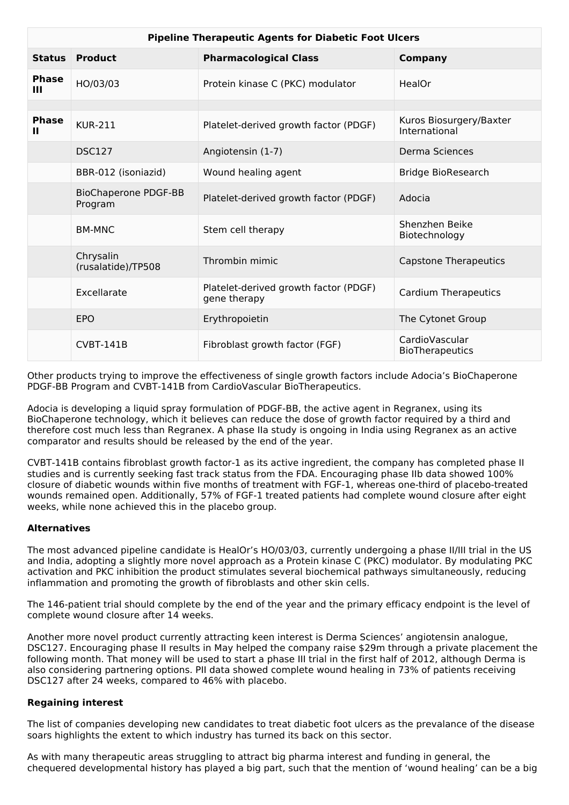| <b>Pipeline Therapeutic Agents for Diabetic Foot Ulcers</b> |                                        |                                                       |                                          |  |
|-------------------------------------------------------------|----------------------------------------|-------------------------------------------------------|------------------------------------------|--|
| <b>Status</b>                                               | <b>Product</b>                         | <b>Pharmacological Class</b>                          | Company                                  |  |
| <b>Phase</b><br>Ш                                           | HO/03/03                               | Protein kinase C (PKC) modulator                      | HealOr                                   |  |
|                                                             |                                        |                                                       |                                          |  |
| <b>Phase</b><br>Ш                                           | <b>KUR-211</b>                         | Platelet-derived growth factor (PDGF)                 | Kuros Biosurgery/Baxter<br>International |  |
|                                                             | <b>DSC127</b>                          | Angiotensin (1-7)                                     | Derma Sciences                           |  |
|                                                             | BBR-012 (isoniazid)                    | Wound healing agent                                   | <b>Bridge BioResearch</b>                |  |
|                                                             | <b>BioChaperone PDGF-BB</b><br>Program | Platelet-derived growth factor (PDGF)                 | Adocia                                   |  |
|                                                             | <b>BM-MNC</b>                          | Stem cell therapy                                     | Shenzhen Beike<br>Biotechnology          |  |
|                                                             | Chrysalin<br>(rusalatide)/TP508        | Thrombin mimic                                        | <b>Capstone Therapeutics</b>             |  |
|                                                             | Excellarate                            | Platelet-derived growth factor (PDGF)<br>gene therapy | <b>Cardium Therapeutics</b>              |  |
|                                                             | <b>EPO</b>                             | Erythropoietin                                        | The Cytonet Group                        |  |
|                                                             | <b>CVBT-141B</b>                       | Fibroblast growth factor (FGF)                        | CardioVascular<br><b>BioTherapeutics</b> |  |

Other products trying to improve the effectiveness of single growth factors include Adocia's BioChaperone PDGF-BB Program and CVBT-141B from CardioVascular BioTherapeutics.

Adocia is developing a liquid spray formulation of PDGF-BB, the active agent in Regranex, using its BioChaperone technology, which it believes can reduce the dose of growth factor required by a third and therefore cost much less than Regranex. A phase IIa study is ongoing in India using Regranex as an active comparator and results should be released by the end of the year.

CVBT-141B contains fibroblast growth factor-1 as its active ingredient, the company has completed phase II studies and is currently seeking fast track status from the FDA. Encouraging phase IIb data showed 100% closure of diabetic wounds within five months of treatment with FGF-1, whereas one-third of placebo-treated wounds remained open. Additionally, 57% of FGF-1 treated patients had complete wound closure after eight weeks, while none achieved this in the placebo group.

#### **Alternatives**

The most advanced pipeline candidate is HealOr's HO/03/03, currently undergoing a phase II/III trial in the US and India, adopting a slightly more novel approach as a Protein kinase C (PKC) modulator. By modulating PKC activation and PKC inhibition the product stimulates several biochemical pathways simultaneously, reducing inflammation and promoting the growth of fibroblasts and other skin cells.

The 146-patient trial should complete by the end of the year and the primary efficacy endpoint is the level of complete wound closure after 14 weeks.

Another more novel product currently attracting keen interest is Derma Sciences' angiotensin analogue, DSC127. Encouraging phase II results in May helped the company raise \$29m through a private placement the following month. That money will be used to start a phase III trial in the first half of 2012, although Derma is also considering partnering options. PII data showed complete wound healing in 73% of patients receiving DSC127 after 24 weeks, compared to 46% with placebo.

#### **Regaining interest**

The list of companies developing new candidates to treat diabetic foot ulcers as the prevalance of the disease soars highlights the extent to which industry has turned its back on this sector.

As with many therapeutic areas struggling to attract big pharma interest and funding in general, the chequered developmental history has played a big part, such that the mention of 'wound healing' can be a big